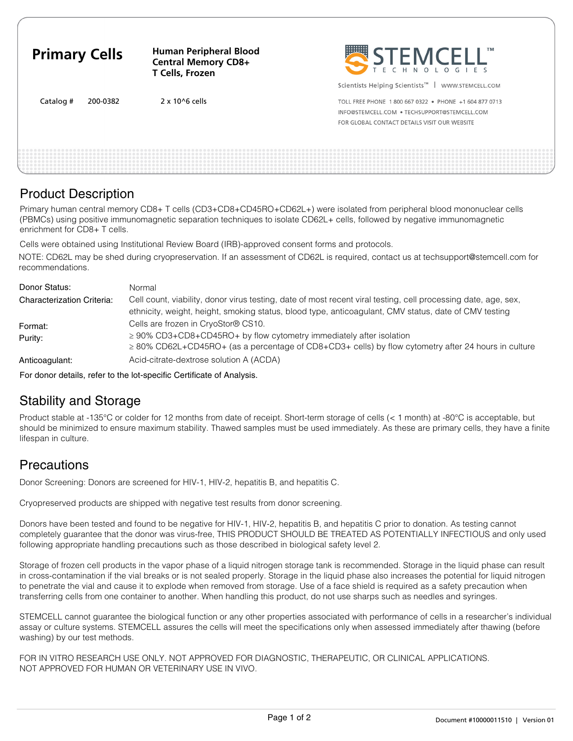| <b>Primary Cells</b>  | <b>Human Peripheral Blood</b><br><b>Central Memory CD8+</b><br>T Cells, Frozen | STEMCELL'                                                                                                                                             |
|-----------------------|--------------------------------------------------------------------------------|-------------------------------------------------------------------------------------------------------------------------------------------------------|
|                       |                                                                                | Scientists Helping Scientists <sup>™</sup>  <br>WWW.STEMCELL.COM                                                                                      |
| Catalog #<br>200-0382 | $2 \times 10^{6}$ cells                                                        | TOLL FREE PHONE 1800 667 0322 · PHONE +1 604 877 0713<br>INFO@STEMCELL.COM . TECHSUPPORT@STEMCELL.COM<br>FOR GLOBAL CONTACT DETAILS VISIT OUR WEBSITE |
|                       |                                                                                |                                                                                                                                                       |

## Product Description

Primary human central memory CD8+ T cells (CD3+CD8+CD45RO+CD62L+) were isolated from peripheral blood mononuclear cells (PBMCs) using positive immunomagnetic separation techniques to isolate CD62L+ cells, followed by negative immunomagnetic enrichment for CD8+ T cells.

Cells were obtained using Institutional Review Board (IRB)-approved consent forms and protocols.

NOTE: CD62L may be shed during cryopreservation. If an assessment of CD62L is required, contact us at techsupport@stemcell.com for recommendations.

| Donor Status:                     | Normal                                                                                                                                                                                                                      |
|-----------------------------------|-----------------------------------------------------------------------------------------------------------------------------------------------------------------------------------------------------------------------------|
| <b>Characterization Criteria:</b> | Cell count, viability, donor virus testing, date of most recent viral testing, cell processing date, age, sex,<br>ethnicity, weight, height, smoking status, blood type, anticoagulant, CMV status, date of CMV testing     |
| Format:<br>Purity:                | Cells are frozen in CryoStor® CS10.<br>$\geq$ 90% CD3+CD8+CD45RO+ by flow cytometry immediately after isolation<br>$\geq$ 80% CD62L+CD45RO+ (as a percentage of CD8+CD3+ cells) by flow cytometry after 24 hours in culture |
| Anticoagulant:                    | Acid-citrate-dextrose solution A (ACDA)                                                                                                                                                                                     |

For donor details, refer to the lot-specific Certificate of Analysis.

## Stability and Storage

Product stable at -135°C or colder for 12 months from date of receipt. Short-term storage of cells (< 1 month) at -80°C is acceptable, but should be minimized to ensure maximum stability. Thawed samples must be used immediately. As these are primary cells, they have a finite lifespan in culture.

## **Precautions**

Donor Screening: Donors are screened for HIV-1, HIV-2, hepatitis B, and hepatitis C.

Cryopreserved products are shipped with negative test results from donor screening.

Donors have been tested and found to be negative for HIV-1, HIV-2, hepatitis B, and hepatitis C prior to donation. As testing cannot completely guarantee that the donor was virus-free, THIS PRODUCT SHOULD BE TREATED AS POTENTIALLY INFECTIOUS and only used following appropriate handling precautions such as those described in biological safety level 2.

Storage of frozen cell products in the vapor phase of a liquid nitrogen storage tank is recommended. Storage in the liquid phase can result in cross-contamination if the vial breaks or is not sealed properly. Storage in the liquid phase also increases the potential for liquid nitrogen to penetrate the vial and cause it to explode when removed from storage. Use of a face shield is required as a safety precaution when transferring cells from one container to another. When handling this product, do not use sharps such as needles and syringes.

STEMCELL cannot guarantee the biological function or any other properties associated with performance of cells in a researcher's individual assay or culture systems. STEMCELL assures the cells will meet the specifications only when assessed immediately after thawing (before washing) by our test methods.

FOR IN VITRO RESEARCH USE ONLY. NOT APPROVED FOR DIAGNOSTIC, THERAPEUTIC, OR CLINICAL APPLICATIONS. NOT APPROVED FOR HUMAN OR VETERINARY USE IN VIVO.